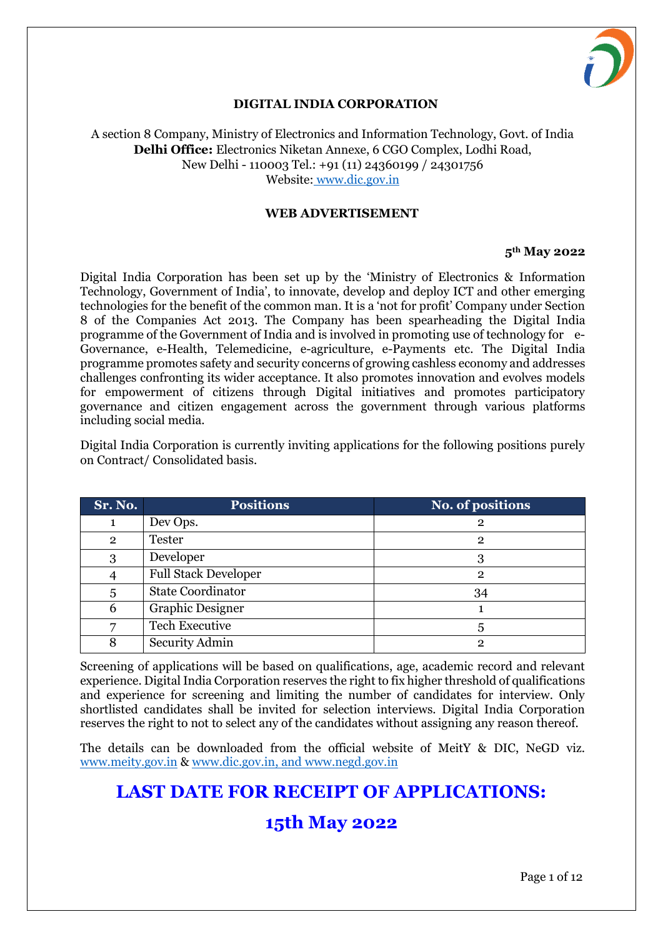

## **DIGITAL INDIA CORPORATION**

A section 8 Company, Ministry of Electronics and Information Technology, Govt. of India **Delhi Office:** Electronics Niketan Annexe, 6 CGO Complex, Lodhi Road, New Delhi - 110003 Tel.: +91 (11) 24360199 / 24301756 Website: www.dic.gov.in

#### **WEB ADVERTISEMENT**

#### **5th May 2022**

Digital India Corporation has been set up by the 'Ministry of Electronics & Information Technology, Government of India', to innovate, develop and deploy ICT and other emerging technologies for the benefit of the common man. It is a 'not for profit' Company under Section 8 of the Companies Act 2013. The Company has been spearheading the Digital India programme of the Government of India and is involved in promoting use of technology for e-Governance, e-Health, Telemedicine, e-agriculture, e-Payments etc. The Digital India programme promotes safety and security concerns of growing cashless economy and addresses challenges confronting its wider acceptance. It also promotes innovation and evolves models for empowerment of citizens through Digital initiatives and promotes participatory governance and citizen engagement across the government through various platforms including social media.

Digital India Corporation is currently inviting applications for the following positions purely on Contract/ Consolidated basis.

| Sr. No.        | <b>Positions</b>            | No. of positions |
|----------------|-----------------------------|------------------|
|                | Dev Ops.                    | 2                |
| $\overline{2}$ | <b>Tester</b>               | 2                |
| 3              | Developer                   |                  |
|                | <b>Full Stack Developer</b> | 2                |
| 5              | <b>State Coordinator</b>    | 34               |
| 6              | <b>Graphic Designer</b>     |                  |
|                | <b>Tech Executive</b>       |                  |
|                | Security Admin              | റ                |

Screening of applications will be based on qualifications, age, academic record and relevant experience. Digital India Corporation reserves the right to fix higher threshold of qualifications and experience for screening and limiting the number of candidates for interview. Only shortlisted candidates shall be invited for selection interviews. Digital India Corporation reserves the right to not to select any of the candidates without assigning any reason thereof.

The details can be downloaded from the official website of MeitY & DIC, NeGD viz. www.meity.gov.in & [www.dic.gov.in,](http://www.dic.gov.in/) and www.negd.gov.in

# **LAST DATE FOR RECEIPT OF APPLICATIONS:**

# **15th May 2022**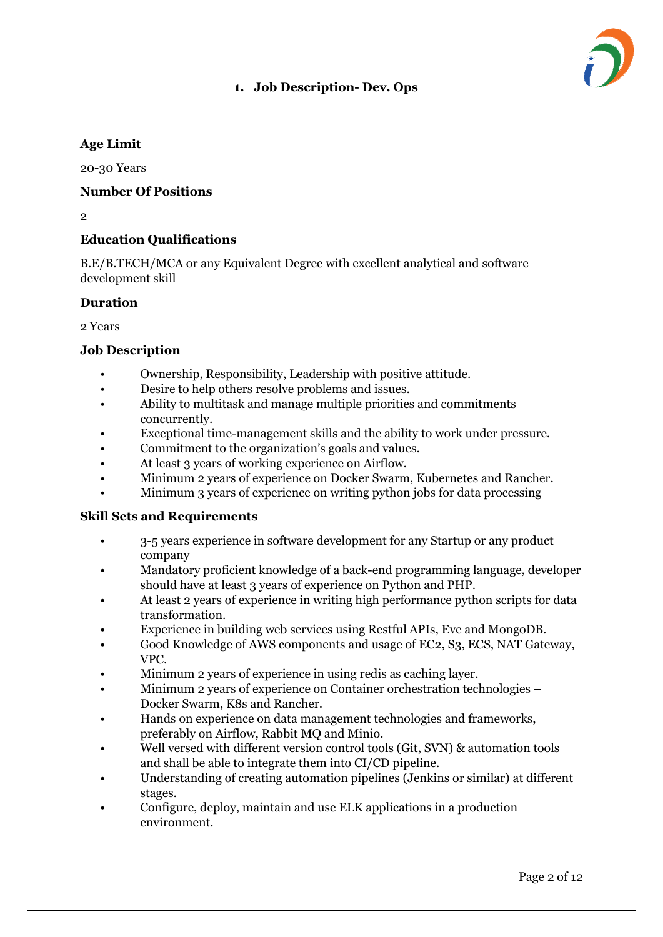# **1. Job Description- Dev. Ops**



20-30 Years

#### **Number Of Positions**

 $\overline{2}$ 

# **Education Qualifications**

B.E/B.TECH/MCA or any Equivalent Degree with excellent analytical and software development skill

#### **Duration**

2 Years

#### **Job Description**

- Ownership, Responsibility, Leadership with positive attitude.
- Desire to help others resolve problems and issues.
- Ability to multitask and manage multiple priorities and commitments concurrently.
- Exceptional time-management skills and the ability to work under pressure.
- Commitment to the organization's goals and values.
- At least 3 years of working experience on Airflow.
- Minimum 2 years of experience on Docker Swarm, Kubernetes and Rancher.
- Minimum 3 years of experience on writing python jobs for data processing

## **Skill Sets and Requirements**

- 3-5 years experience in software development for any Startup or any product company
- Mandatory proficient knowledge of a back-end programming language, developer should have at least 3 years of experience on Python and PHP.
- At least 2 years of experience in writing high performance python scripts for data transformation.
- Experience in building web services using Restful APIs, Eve and MongoDB.
- Good Knowledge of AWS components and usage of EC2, S3, ECS, NAT Gateway, VPC.
- Minimum 2 years of experience in using redis as caching layer.
- Minimum 2 years of experience on Container orchestration technologies Docker Swarm, K8s and Rancher.
- Hands on experience on data management technologies and frameworks, preferably on Airflow, Rabbit MQ and Minio.
- Well versed with different version control tools (Git, SVN) & automation tools and shall be able to integrate them into CI/CD pipeline.
- Understanding of creating automation pipelines (Jenkins or similar) at different stages.
- Configure, deploy, maintain and use ELK applications in a production environment.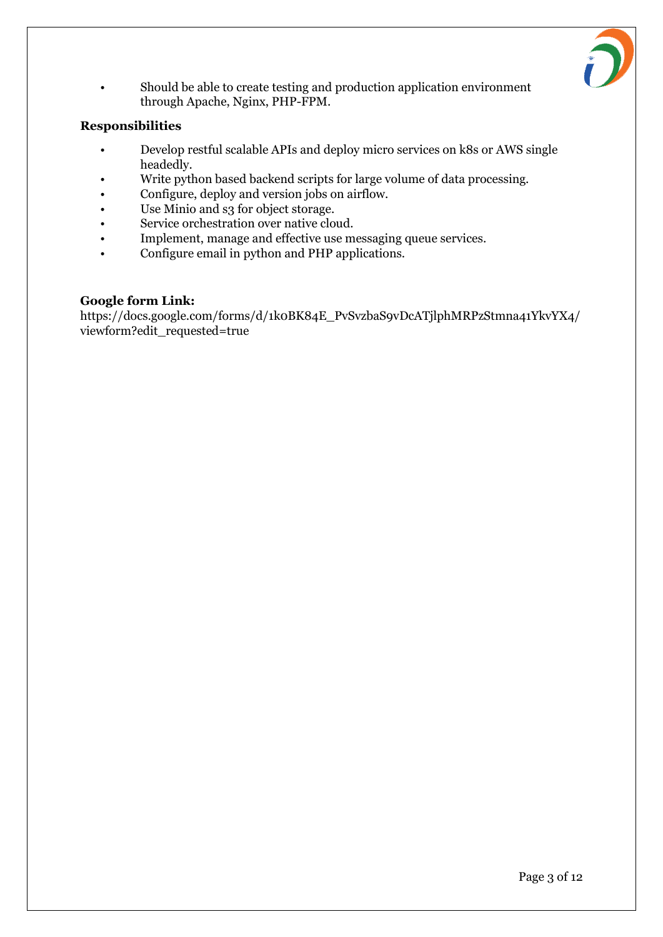

• Should be able to create testing and production application environment through Apache, Nginx, PHP-FPM.

# **Responsibilities**

- Develop restful scalable APIs and deploy micro services on k8s or AWS single headedly.
- Write python based backend scripts for large volume of data processing.
- Configure, deploy and version jobs on airflow.
- Use Minio and s3 for object storage.
- Service orchestration over native cloud.
- Implement, manage and effective use messaging queue services.
- Configure email in python and PHP applications.

## **Google form Link:**

https://docs.google.com/forms/d/1k0BK84E\_PvSvzbaS9vDcATjlphMRPzStmna41YkvYX4/ viewform?edit\_requested=true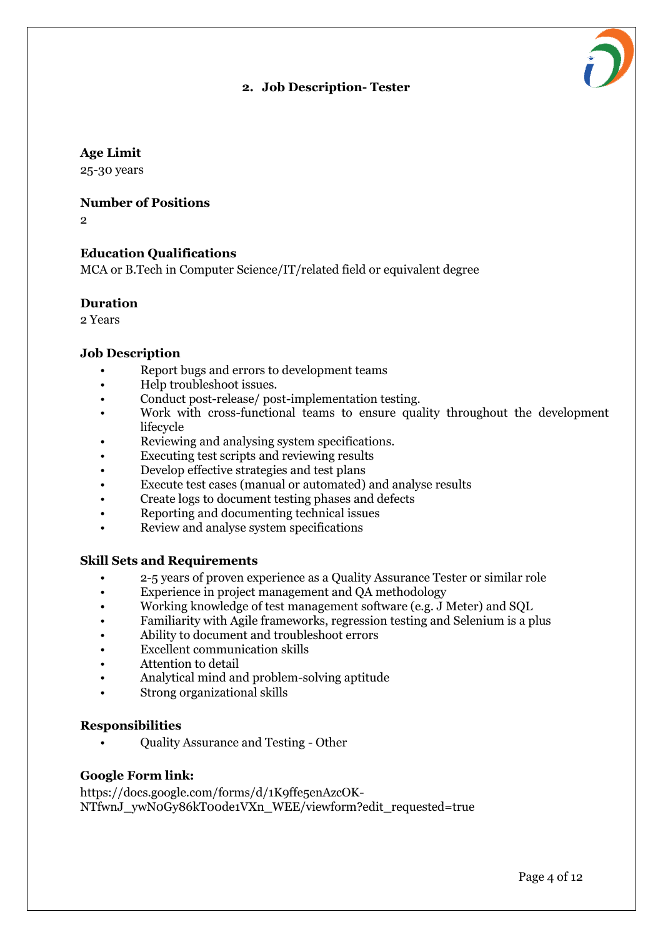# **2. Job Description- Tester**



25-30 years

#### **Number of Positions**

 $\mathfrak{p}$ 

#### **Education Qualifications**

MCA or B.Tech in Computer Science/IT/related field or equivalent degree

#### **Duration**

2 Years

#### **Job Description**

- Report bugs and errors to development teams
- Help troubleshoot issues.
- Conduct post-release/ post-implementation testing.
- Work with cross-functional teams to ensure quality throughout the development lifecycle
- Reviewing and analysing system specifications.
- Executing test scripts and reviewing results
- Develop effective strategies and test plans
- Execute test cases (manual or automated) and analyse results
- Create logs to document testing phases and defects
- Reporting and documenting technical issues
- Review and analyse system specifications

#### **Skill Sets and Requirements**

- 2-5 years of proven experience as a Quality Assurance Tester or similar role
- Experience in project management and QA methodology
- Working knowledge of test management software (e.g. J Meter) and SQL
- Familiarity with Agile frameworks, regression testing and Selenium is a plus
- Ability to document and troubleshoot errors
- Excellent communication skills
- Attention to detail
- Analytical mind and problem-solving aptitude
- Strong organizational skills

#### **Responsibilities**

• Quality Assurance and Testing - Other

#### **Google Form link:**

https://docs.google.com/forms/d/1K9ffe5enAzcOK-NTfwnJ\_ywN0Gy86kT00de1VXn\_WEE/viewform?edit\_requested=true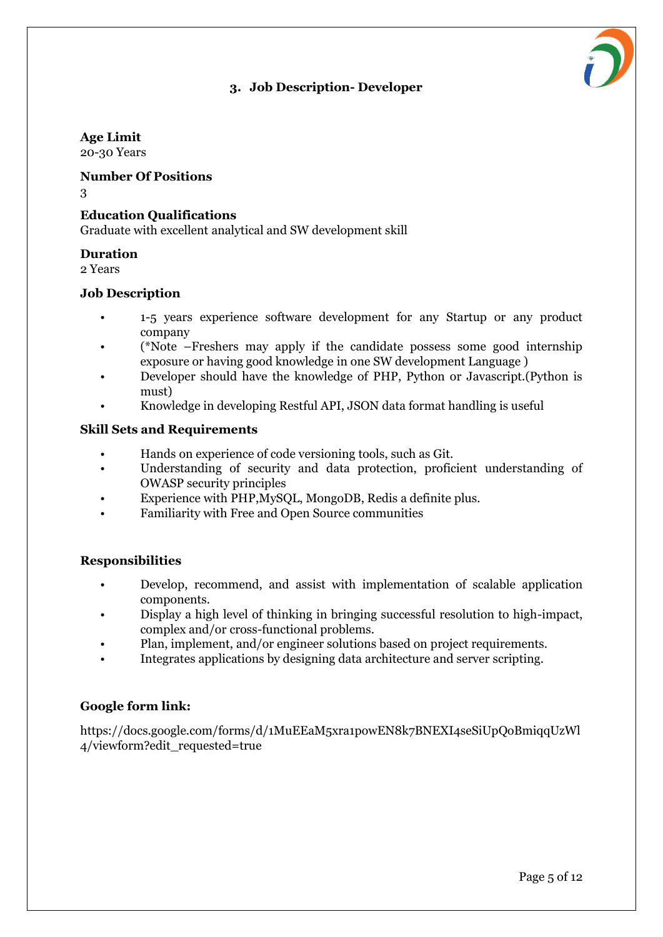# **3. Job Description- Developer**



# **Age Limit**

20-30 Years

## **Number Of Positions**

3

# **Education Qualifications**

Graduate with excellent analytical and SW development skill

# **Duration**

2 Years

# **Job Description**

- 1-5 years experience software development for any Startup or any product company
- (\*Note –Freshers may apply if the candidate possess some good internship exposure or having good knowledge in one SW development Language )
- Developer should have the knowledge of PHP, Python or Javascript.(Python is must)
- Knowledge in developing Restful API, JSON data format handling is useful

# **Skill Sets and Requirements**

- Hands on experience of code versioning tools, such as Git.
- Understanding of security and data protection, proficient understanding of OWASP security principles
- Experience with PHP,MySQL, MongoDB, Redis a definite plus.
- Familiarity with Free and Open Source communities

# **Responsibilities**

- Develop, recommend, and assist with implementation of scalable application components.
- Display a high level of thinking in bringing successful resolution to high-impact, complex and/or cross-functional problems.
- Plan, implement, and/or engineer solutions based on project requirements.
- Integrates applications by designing data architecture and server scripting.

# **Google form link:**

https://docs.google.com/forms/d/1MuEEaM5xra1powEN8k7BNEXI4seSiUpQoBmiqqUzWl 4/viewform?edit\_requested=true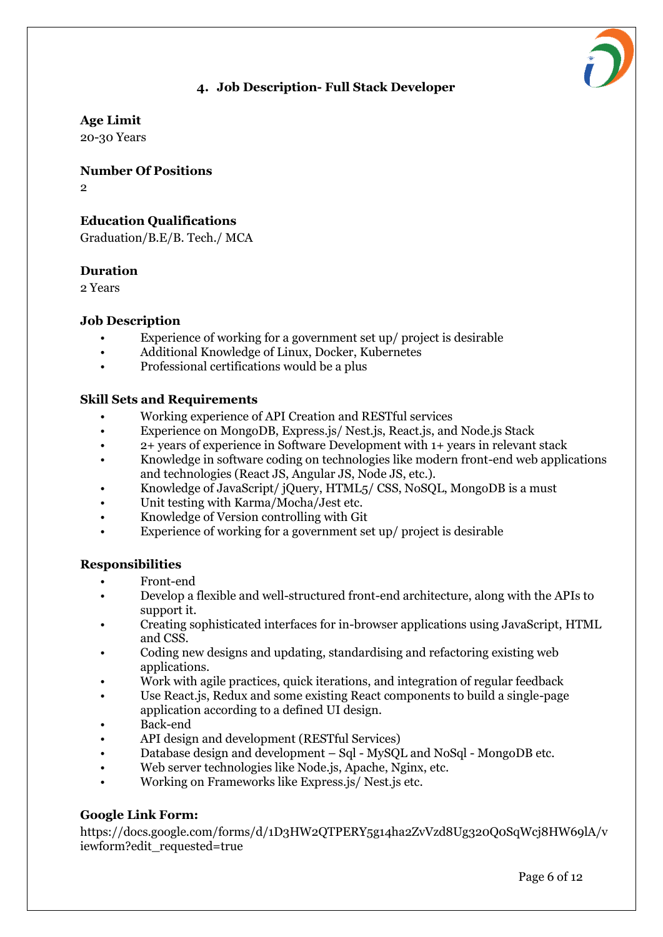# **4. Job Description- Full Stack Developer**



**Age Limit**

20-30 Years

**Number Of Positions**

 $\overline{2}$ 

# **Education Qualifications**

Graduation/B.E/B. Tech./ MCA

# **Duration**

2 Years

# **Job Description**

- Experience of working for a government set up/ project is desirable
- Additional Knowledge of Linux, Docker, Kubernetes
- Professional certifications would be a plus

# **Skill Sets and Requirements**

- Working experience of API Creation and RESTful services
- Experience on MongoDB, Express.js/ Nest.js, React.js, and Node.js Stack
- 2+ years of experience in Software Development with 1+ years in relevant stack
- Knowledge in software coding on technologies like modern front-end web applications and technologies (React JS, Angular JS, Node JS, etc.).
- Knowledge of JavaScript/ jQuery, HTML5/ CSS, NoSQL, MongoDB is a must
- Unit testing with Karma/Mocha/Jest etc.
- Knowledge of Version controlling with Git
- Experience of working for a government set up/ project is desirable

## **Responsibilities**

- Front-end
- Develop a flexible and well-structured front-end architecture, along with the APIs to support it.
- Creating sophisticated interfaces for in-browser applications using JavaScript, HTML and CSS.
- Coding new designs and updating, standardising and refactoring existing web applications.
- Work with agile practices, quick iterations, and integration of regular feedback
- Use React.js, Redux and some existing React components to build a single-page application according to a defined UI design.
- Back-end
- API design and development (RESTful Services)
- Database design and development Sql MySQL and NoSql MongoDB etc.
- Web server technologies like Node.js, Apache, Nginx, etc.
- Working on Frameworks like Express.js/ Nest.js etc.

# **Google Link Form:**

https://docs.google.com/forms/d/1D3HW2QTPERY5g14ha2ZvVzd8Ug320Q0SqWcj8HW69lA/v iewform?edit\_requested=true

Page 6 of 12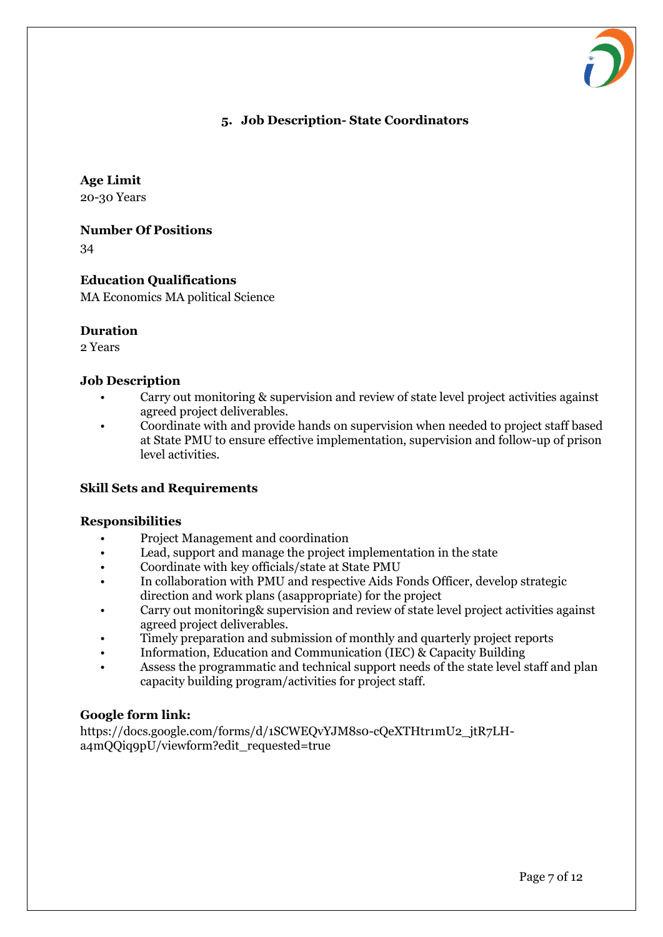

#### **5. Job Description- State Coordinators**

#### **Age Limit**

20-30 Years

**Number Of Positions**

34

# **Education Qualifications**

MA Economics MA political Science

#### **Duration**

2 Years

#### **Job Description**

- Carry out monitoring & supervision and review of state level project activities against agreed project deliverables.
- Coordinate with and provide hands on supervision when needed to project staff based at State PMU to ensure effective implementation, supervision and follow-up of prison level activities.

## **Skill Sets and Requirements**

#### **Responsibilities**

- Project Management and coordination
- Lead, support and manage the project implementation in the state
- Coordinate with key officials/state at State PMU
- In collaboration with PMU and respective Aids Fonds Officer, develop strategic direction and work plans (asappropriate) for the project
- Carry out monitoring& supervision and review of state level project activities against agreed project deliverables.
- Timely preparation and submission of monthly and quarterly project reports
- Information, Education and Communication (IEC) & Capacity Building
- Assess the programmatic and technical support needs of the state level staff and plan capacity building program/activities for project staff.

## **Google form link:**

https://docs.google.com/forms/d/1SCWEQvYJM8s0-cQeXTHtr1mU2\_jtR7LHa4mQQiq9pU/viewform?edit\_requested=true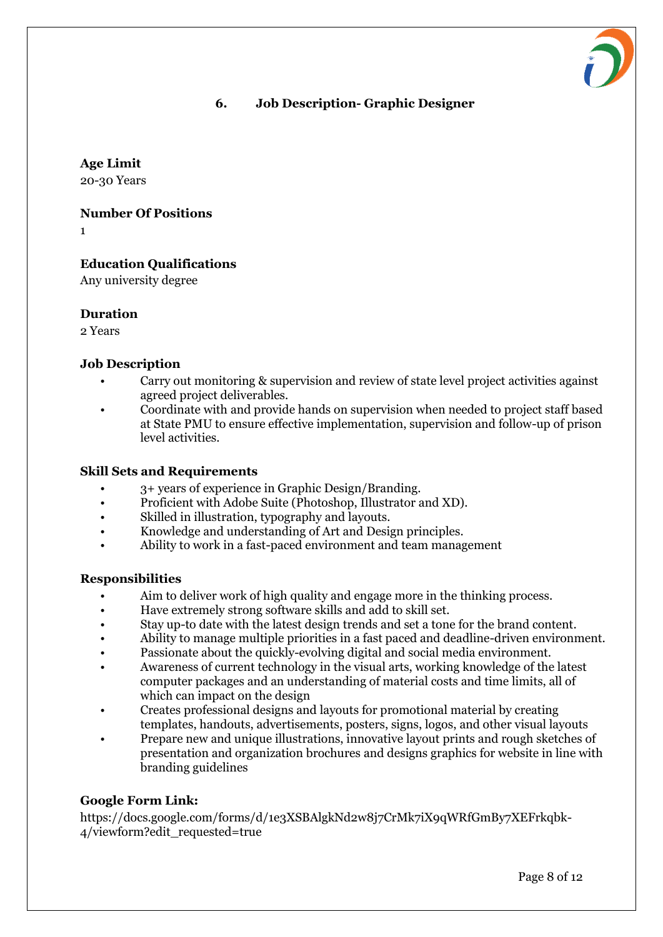# **6. Job Description- Graphic Designer**

**Age Limit**

20-30 Years

**Number Of Positions**

1

# **Education Qualifications**

Any university degree

#### **Duration**

2 Years

#### **Job Description**

- Carry out monitoring & supervision and review of state level project activities against agreed project deliverables.
- Coordinate with and provide hands on supervision when needed to project staff based at State PMU to ensure effective implementation, supervision and follow-up of prison level activities.

#### **Skill Sets and Requirements**

- 3+ years of experience in Graphic Design/Branding.
- Proficient with Adobe Suite (Photoshop, Illustrator and XD).
- Skilled in illustration, typography and layouts.
- Knowledge and understanding of Art and Design principles.
- Ability to work in a fast-paced environment and team management

#### **Responsibilities**

- Aim to deliver work of high quality and engage more in the thinking process.
- Have extremely strong software skills and add to skill set.
- Stay up-to date with the latest design trends and set a tone for the brand content.
- Ability to manage multiple priorities in a fast paced and deadline-driven environment.
- Passionate about the quickly-evolving digital and social media environment.
- Awareness of current technology in the visual arts, working knowledge of the latest computer packages and an understanding of material costs and time limits, all of which can impact on the design
- Creates professional designs and layouts for promotional material by creating templates, handouts, advertisements, posters, signs, logos, and other visual layouts
- Prepare new and unique illustrations, innovative layout prints and rough sketches of presentation and organization brochures and designs graphics for website in line with branding guidelines

## **Google Form Link:**

https://docs.google.com/forms/d/1e3XSBAlgkNd2w8j7CrMk7iX9qWRfGmBy7XEFrkqbk-4/viewform?edit\_requested=true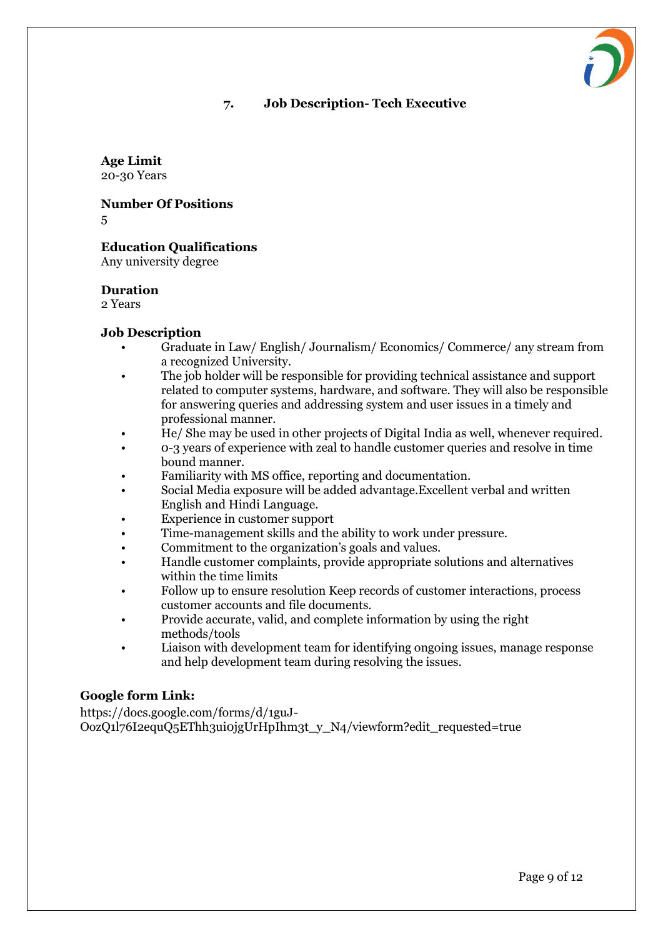# **7. Job Description- Tech Executive**

**Age Limit**

20-30 Years

**Number Of Positions** 5

# **Education Qualifications**

Any university degree

#### **Duration**

2 Years

#### **Job Description**

- Graduate in Law/ English/ Journalism/ Economics/ Commerce/ any stream from a recognized University.
- The job holder will be responsible for providing technical assistance and support related to computer systems, hardware, and software. They will also be responsible for answering queries and addressing system and user issues in a timely and professional manner.
- He/ She may be used in other projects of Digital India as well, whenever required.
- 0-3 years of experience with zeal to handle customer queries and resolve in time bound manner.
- Familiarity with MS office, reporting and documentation.
- Social Media exposure will be added advantage.Excellent verbal and written English and Hindi Language.
- Experience in customer support
- Time-management skills and the ability to work under pressure.
- Commitment to the organization's goals and values.
- Handle customer complaints, provide appropriate solutions and alternatives within the time limits
- Follow up to ensure resolution Keep records of customer interactions, process customer accounts and file documents.
- Provide accurate, valid, and complete information by using the right methods/tools
- Liaison with development team for identifying ongoing issues, manage response and help development team during resolving the issues.

## **Google form Link:**

https://docs.google.com/forms/d/1guJ-OozQ1l76I2equQ5EThh3ui0jgUrHpIhm3t\_y\_N4/viewform?edit\_requested=true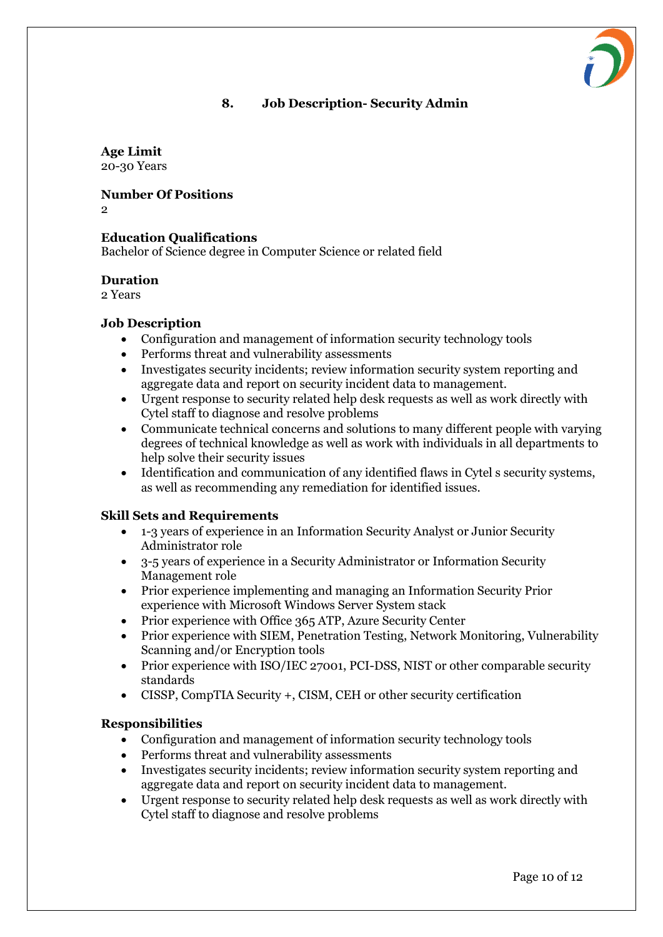# **8. Job Description- Security Admin**

# **Age Limit**

20-30 Years

**Number Of Positions**

 $\Omega$ 

# **Education Qualifications**

Bachelor of Science degree in Computer Science or related field

#### **Duration**

2 Years

## **Job Description**

- Configuration and management of information security technology tools
- Performs threat and vulnerability assessments
- Investigates security incidents; review information security system reporting and aggregate data and report on security incident data to management.
- Urgent response to security related help desk requests as well as work directly with Cytel staff to diagnose and resolve problems
- Communicate technical concerns and solutions to many different people with varying degrees of technical knowledge as well as work with individuals in all departments to help solve their security issues
- Identification and communication of any identified flaws in Cytel s security systems, as well as recommending any remediation for identified issues.

## **Skill Sets and Requirements**

- 1-3 years of experience in an Information Security Analyst or Junior Security Administrator role
- 3-5 years of experience in a Security Administrator or Information Security Management role
- Prior experience implementing and managing an Information Security Prior experience with Microsoft Windows Server System stack
- Prior experience with Office 365 ATP, Azure Security Center
- Prior experience with SIEM, Penetration Testing, Network Monitoring, Vulnerability Scanning and/or Encryption tools
- Prior experience with ISO/IEC 27001, PCI-DSS, NIST or other comparable security standards
- CISSP, CompTIA Security +, CISM, CEH or other security certification

## **Responsibilities**

- Configuration and management of information security technology tools
- Performs threat and vulnerability assessments
- Investigates security incidents; review information security system reporting and aggregate data and report on security incident data to management.
- Urgent response to security related help desk requests as well as work directly with Cytel staff to diagnose and resolve problems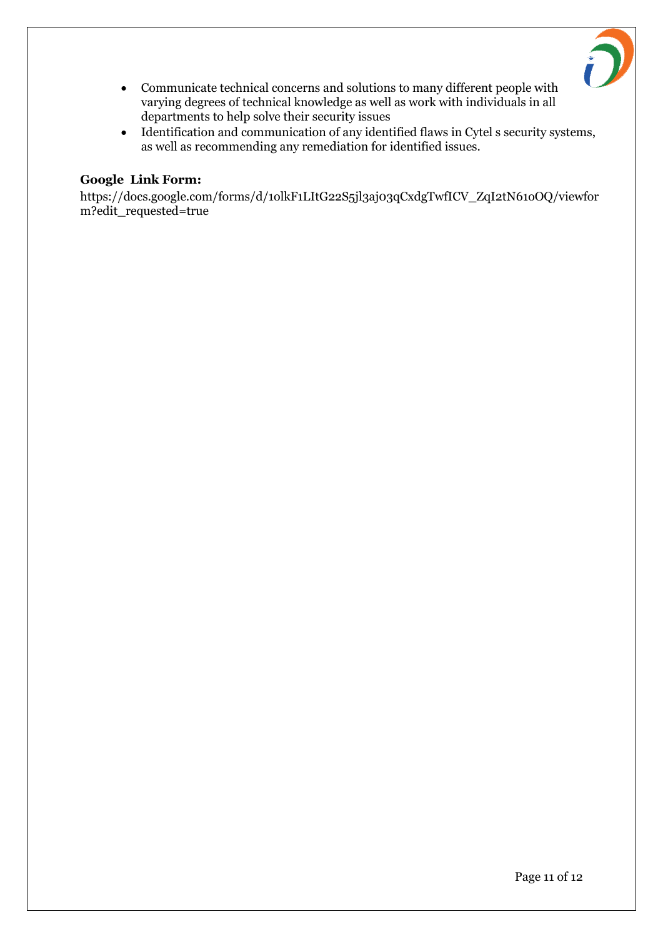

- Communicate technical concerns and solutions to many different people with varying degrees of technical knowledge as well as work with individuals in all departments to help solve their security issues
- Identification and communication of any identified flaws in Cytel s security systems, as well as recommending any remediation for identified issues.

#### **Google Link Form:**

https://docs.google.com/forms/d/1olkF1LItG22S5jl3aj03qCxdgTwfICV\_ZqI2tN61oOQ/viewfor m?edit\_requested=true